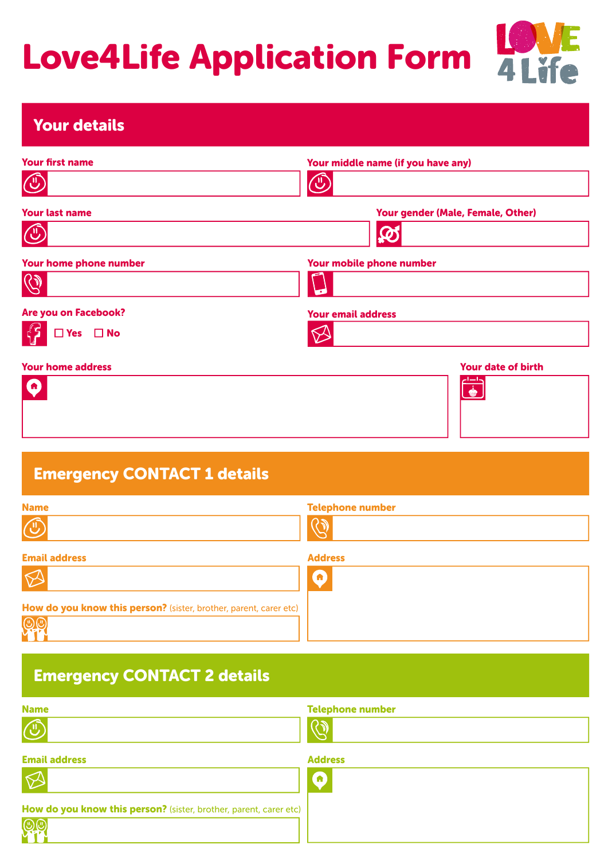## Love4Life Application Form 4Life



## Your details

| <b>Your first name</b><br><b>QU</b>          | Your middle name (if you have any)       |
|----------------------------------------------|------------------------------------------|
| <b>Your last name</b><br><b>CU</b>           | Your gender (Male, Female, Other)<br>लिं |
| Your home phone number                       | Your mobile phone number                 |
| Are you on Facebook?<br>$\Box$ Yes $\Box$ No | <b>Your email address</b>                |
| <b>Your home address</b>                     | Your date of birth                       |

## Emergency CONTACT 1 details

| <b>Name</b><br>$\widehat{\mathbb{C}}$                             | <b>Telephone number</b> |
|-------------------------------------------------------------------|-------------------------|
| <b>Email address</b>                                              | <b>Address</b>          |
|                                                                   | A                       |
| How do you know this person? (sister, brother, parent, carer etc) |                         |
|                                                                   |                         |

## Emergency CONTACT 2 details

| <b>Name</b>                                                       | <b>Telephone number</b> |
|-------------------------------------------------------------------|-------------------------|
| $\overline{C}$                                                    |                         |
| <b>Email address</b>                                              | <b>Address</b>          |
| $\varnothing$                                                     | a)                      |
| How do you know this person? (sister, brother, parent, carer etc) |                         |
| $\mathbb{Q} \mathbb{C}$                                           |                         |